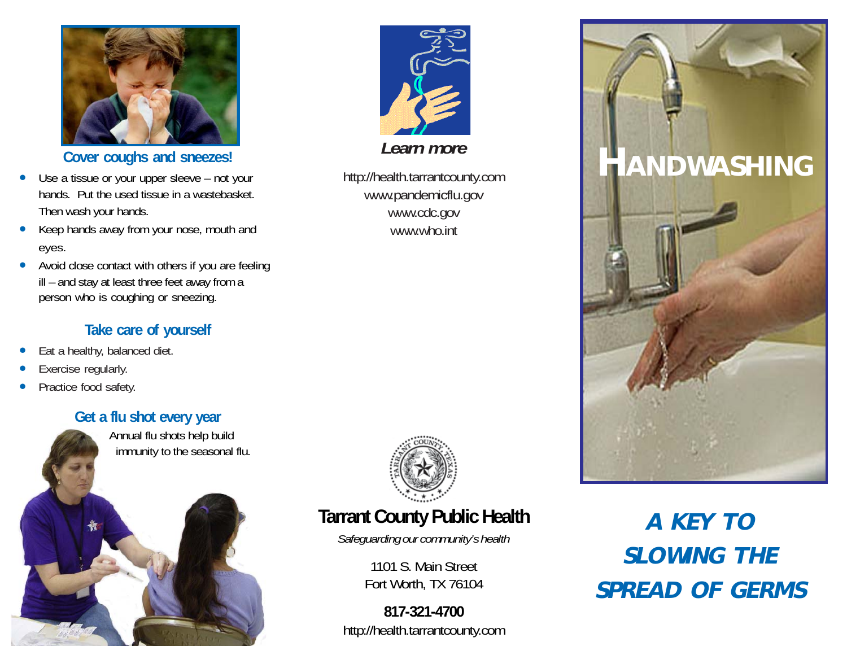

**Cover coughs and sneezes!**

- • Use a tissue or your upper sleeve – not your hands. Put the used tissue in a wastebasket. Then wash your hands.
- • Keep hands away from your nose, mouth and eyes.
- • Avoid close contact with others if you are feeling ill – and stay at least three feet away from a person who is coughing or sneezing.

#### **Take care of yourself**

- •Eat a healthy, balanced diet.
- •Exercise regularly.
- •Practice food safety.

### **Get a flu shot every year**

 Annual flu shots help build immunity to the seasonal flu.





*Learn more*

http://health.tarrantcounty.com www.pandemicflu.gov www.cdc.gov www.who.int



# **Tarrant County Public Health**

*Safeguarding our community's health*

1101 S. Main Street Fort Worth, TX 76104

**817-321-4700** http://health.tarrantcounty.com



**A KEY TO SLOWING THE SPREAD OF GERMS**